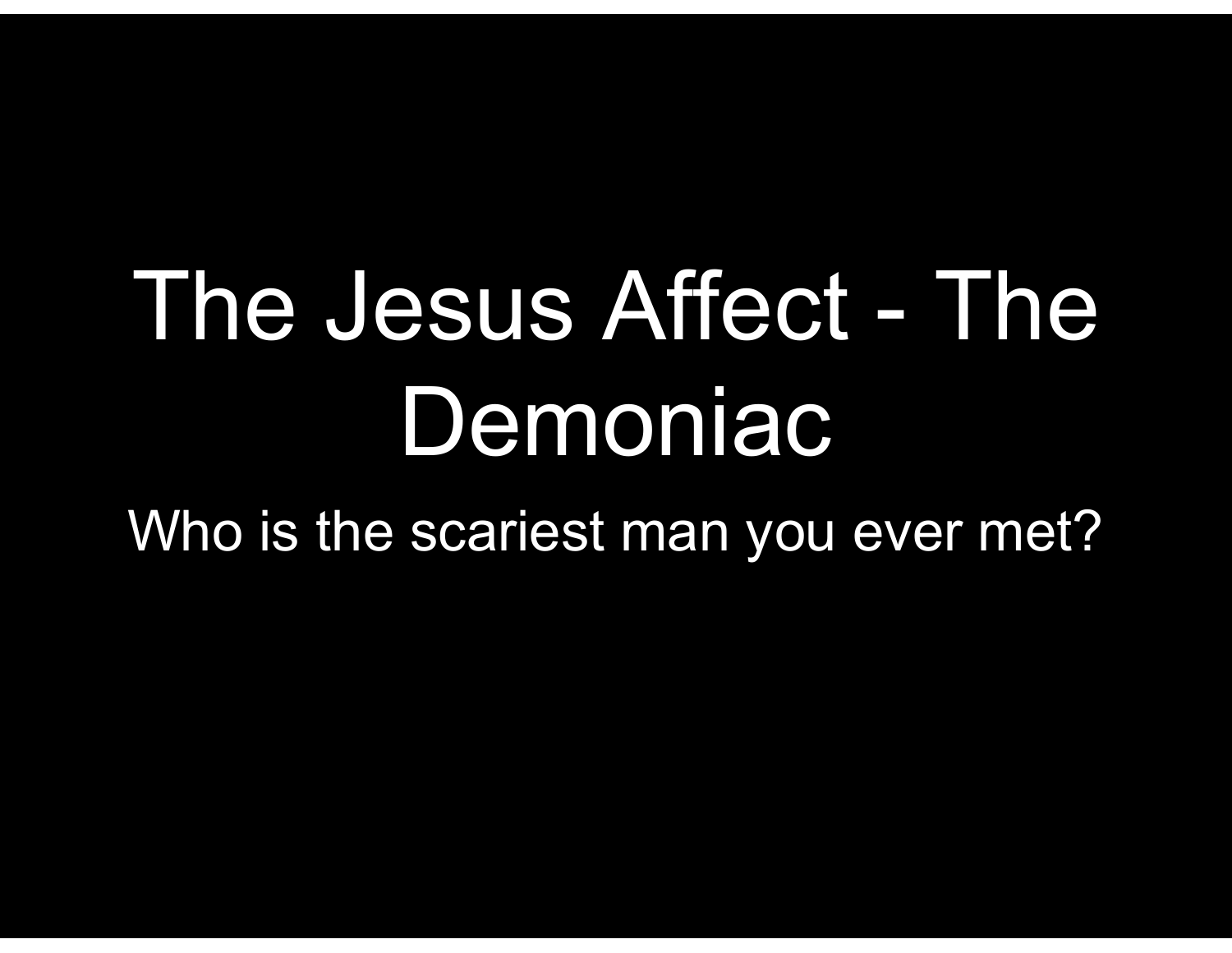## The Jesus Affect - The Demoniac

Who is the scariest man you ever met?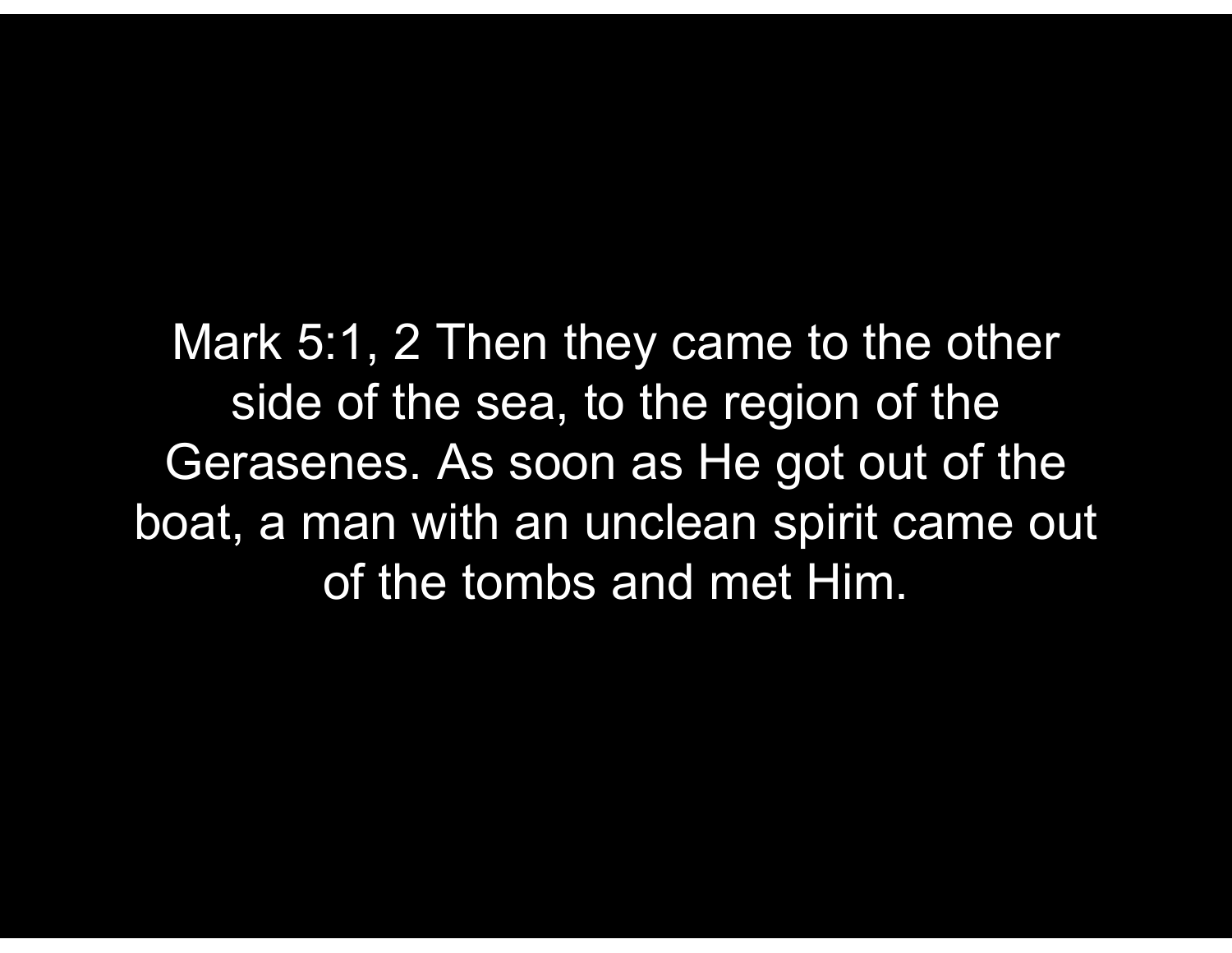Mark 5:1, 2 Then they came to the other side of the sea, to the region of the Gerasenes. As soon as He got out of the boat, a man with an unclean spirit came out of the tombs and met Him.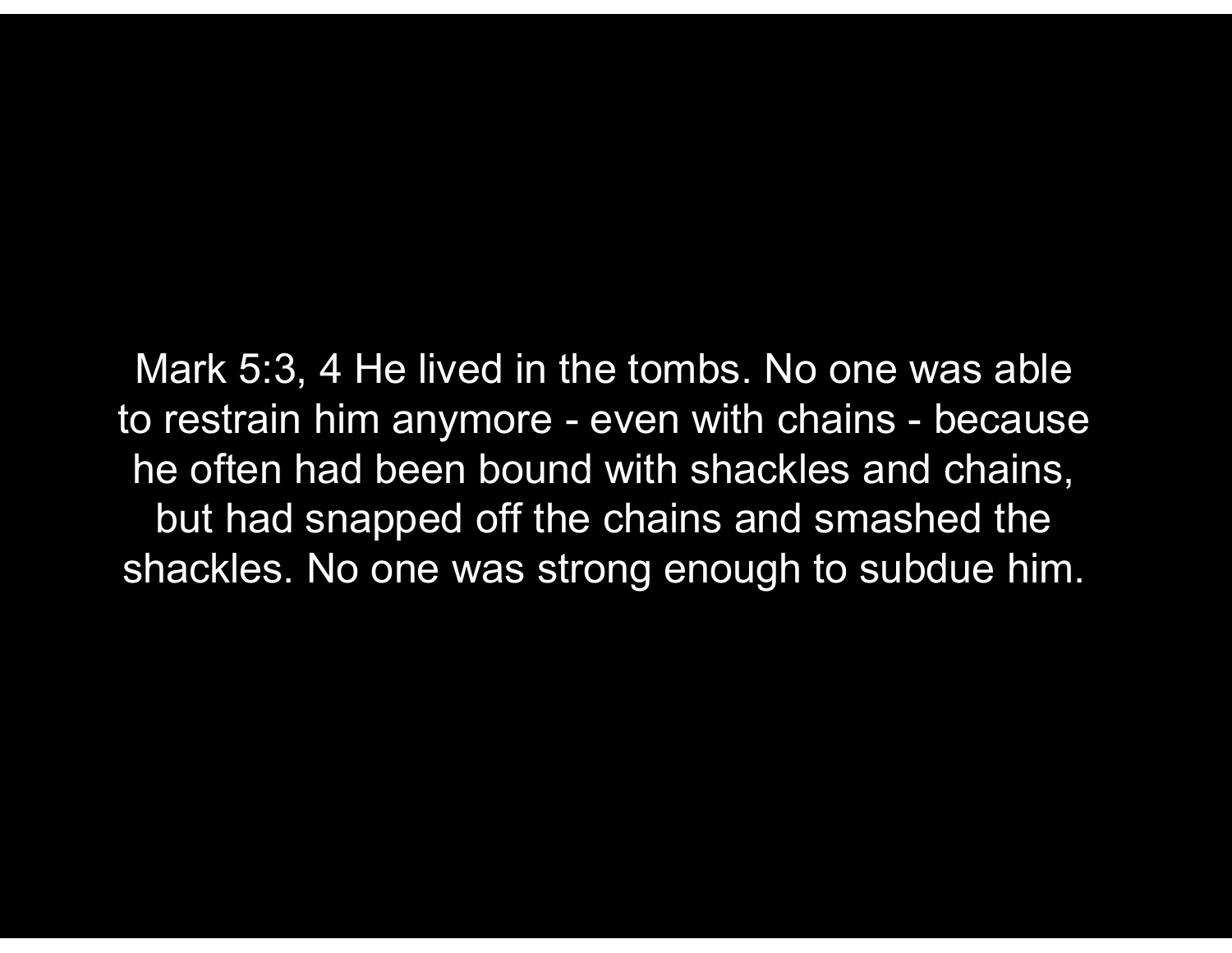Mark 5:3, 4 He lived in the tombs. No one was able Mark 5:3, 4 He lived in the tombs. No one was able<br>to restrain him anymore - even with chains - because<br>he often had been bound with shackles and chains,<br>but had snapped off the chains and smashed the he often had been bound with shackles and chains, but had snapped off the chains and smashed the shackles. No one was strong enough to subdue him.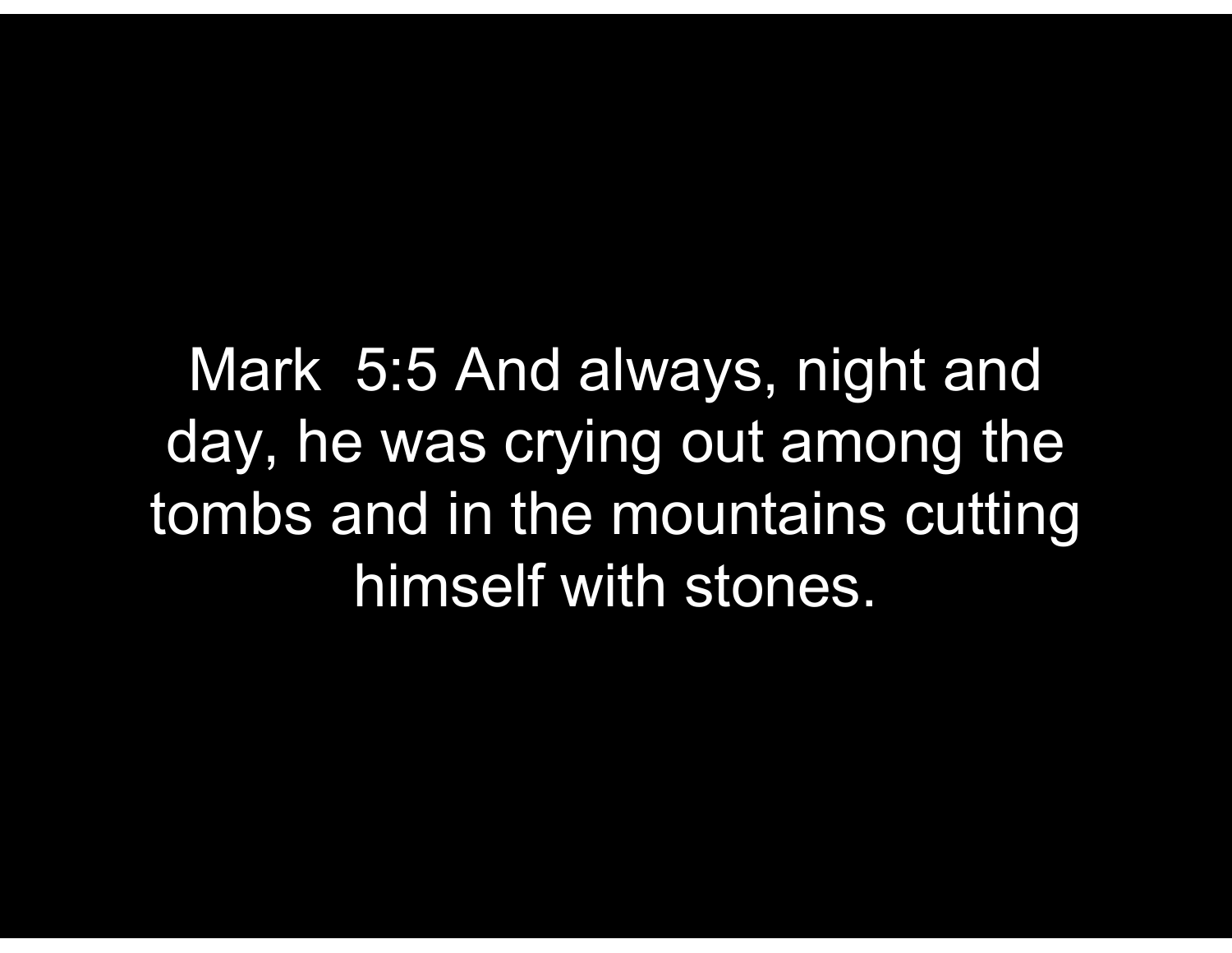Mark 5:5 And always, night and day, he was crying out among the tombs and in the mountains cutting himself with stones.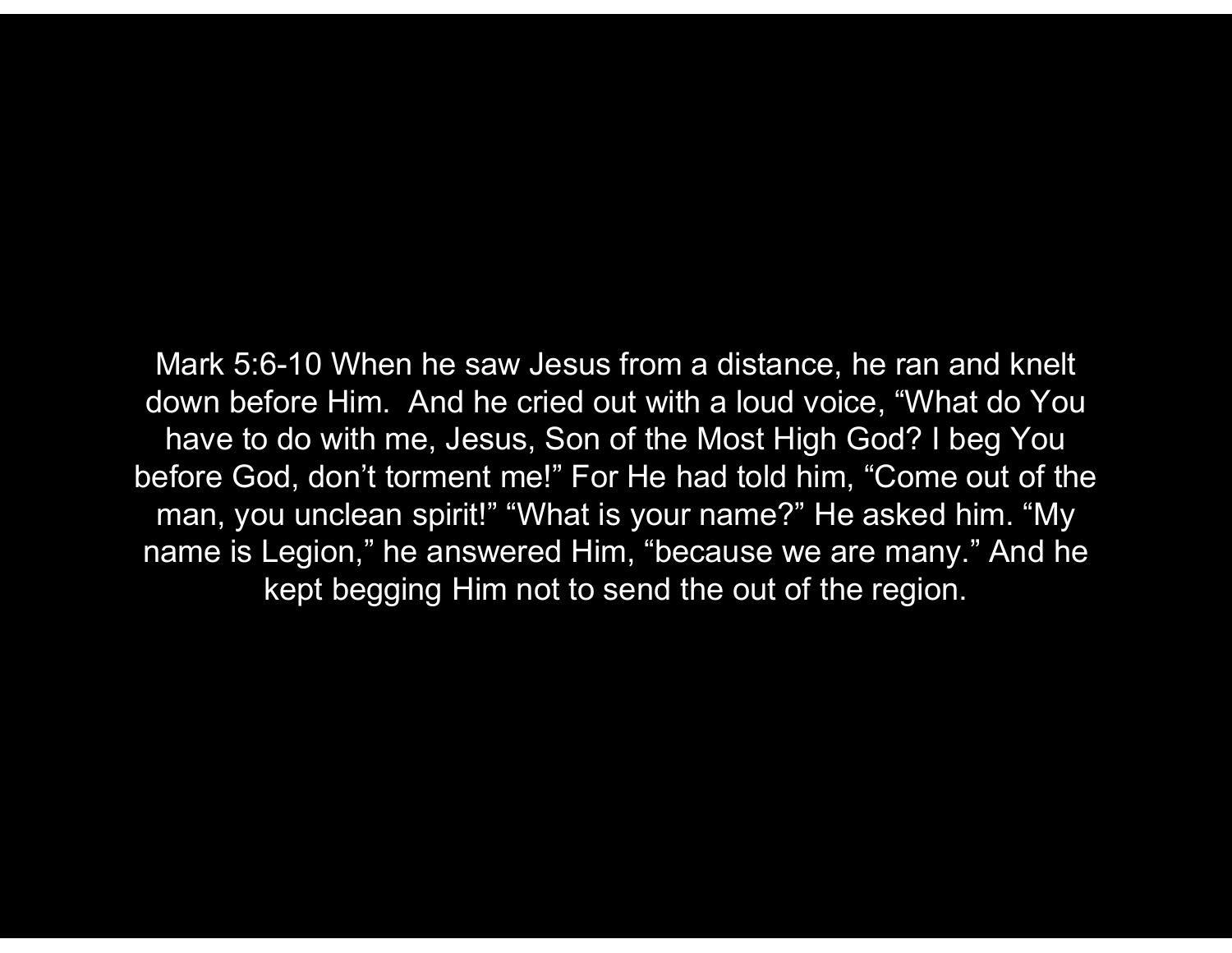Mark 5:6-10 When he saw Jesus from a distance, he ran and knelt down before Him. And he cried out with a loud voice, "What do You have to do with me, Jesus, Son of the Most High God? I beg You before God, don't torment me!" For He had told him, "Come out of the man, you unclean spirit!" "What is your name?" He asked him. "My name is Legion," he answered Him, "because we are many." And he kept begging Him not to send the out of the region.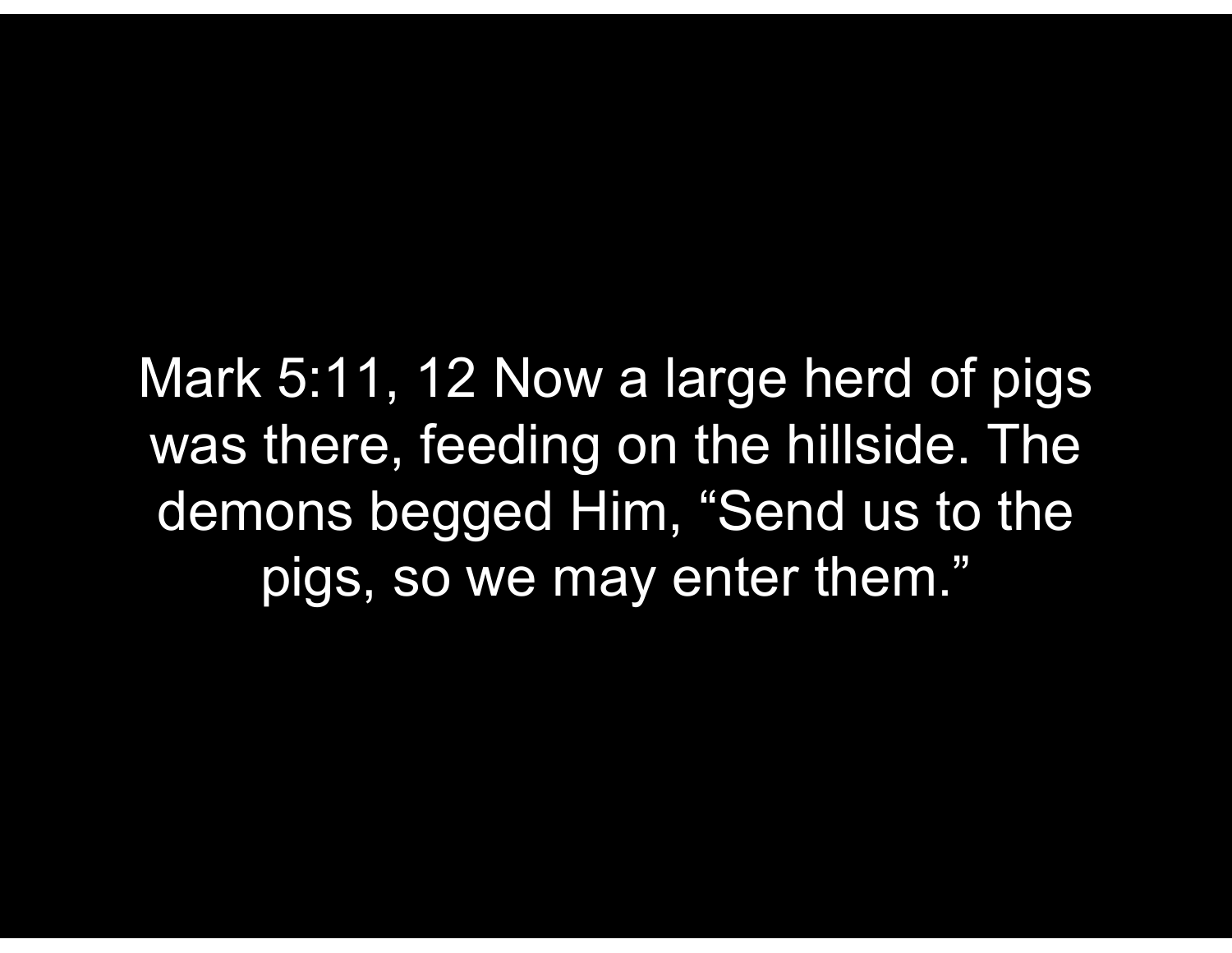Mark 5:11, 12 Now a large herd of pigs was there, feeding on the hillside. The demons begged Him, "Send us to the pigs, so we may enter them."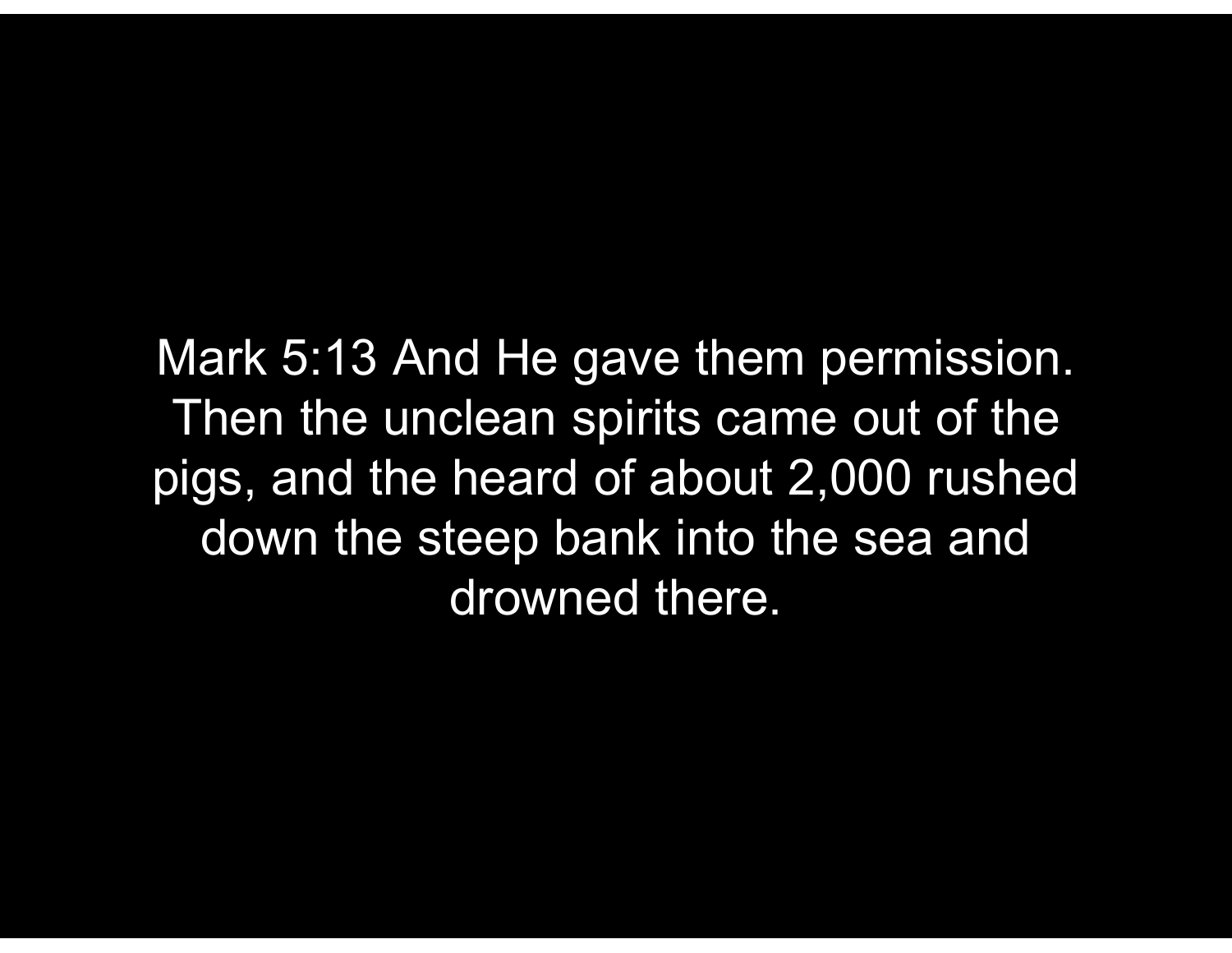Mark 5:13 And He gave them permission. Then the unclean spirits came out of the pigs, and the heard of about 2,000 rushed down the steep bank into the sea and drowned there.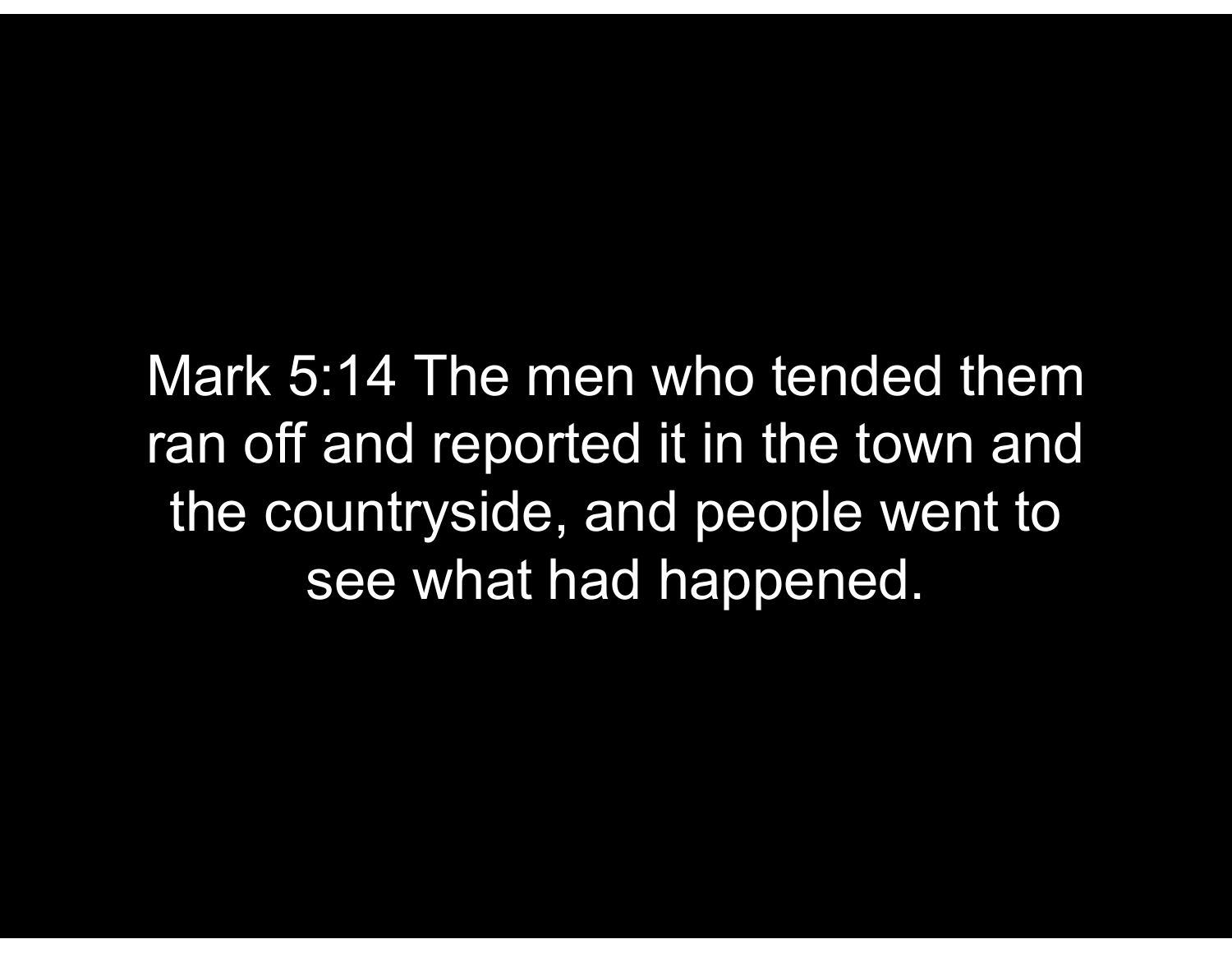Mark 5:14 The men who tended them ran off and reported it in the town and the countryside, and people went to see what had happened.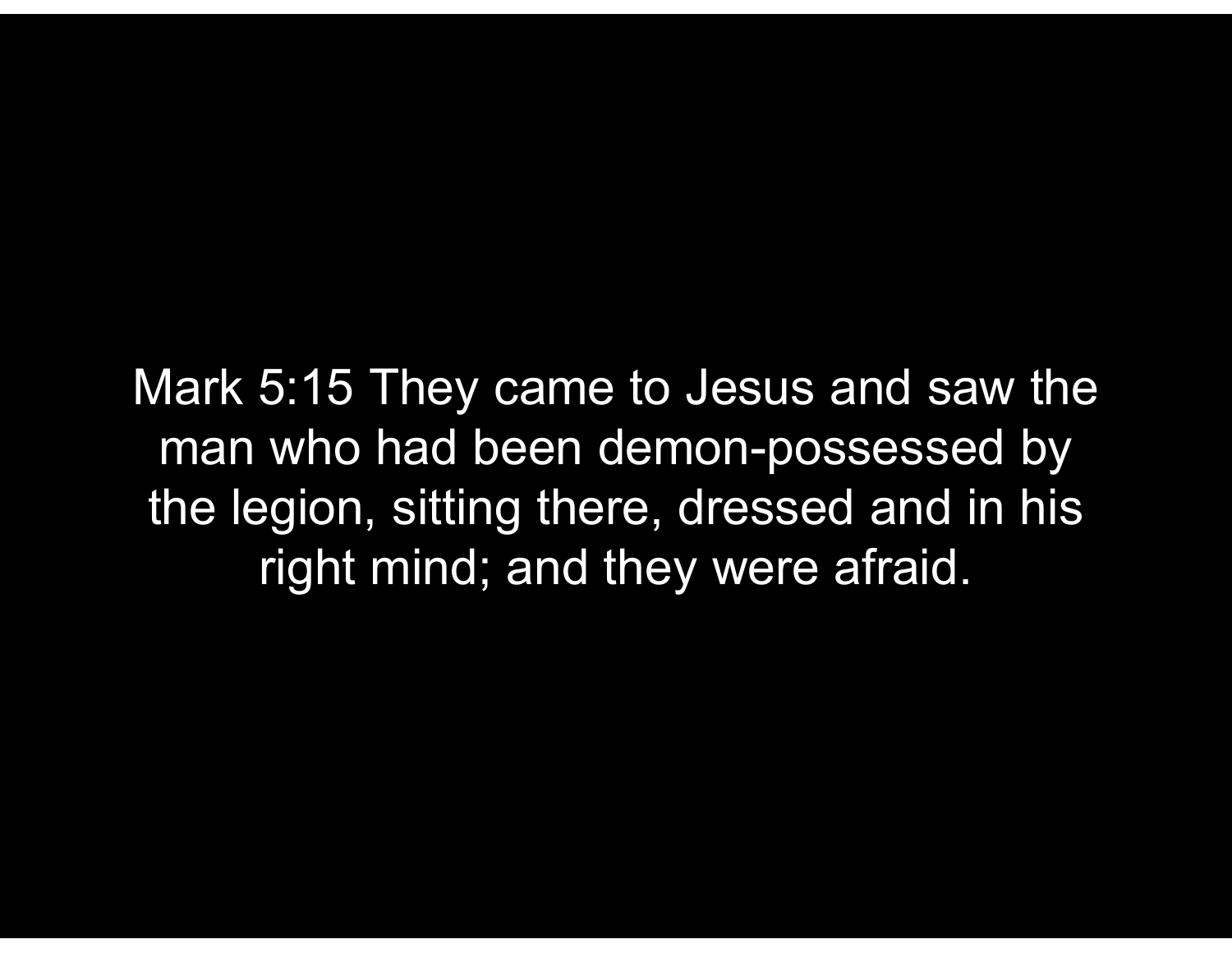Mark 5:15 They came to Jesus and saw the man who had been demon-possessed by the legion, sitting there, dressed and in his right mind; and they were afraid.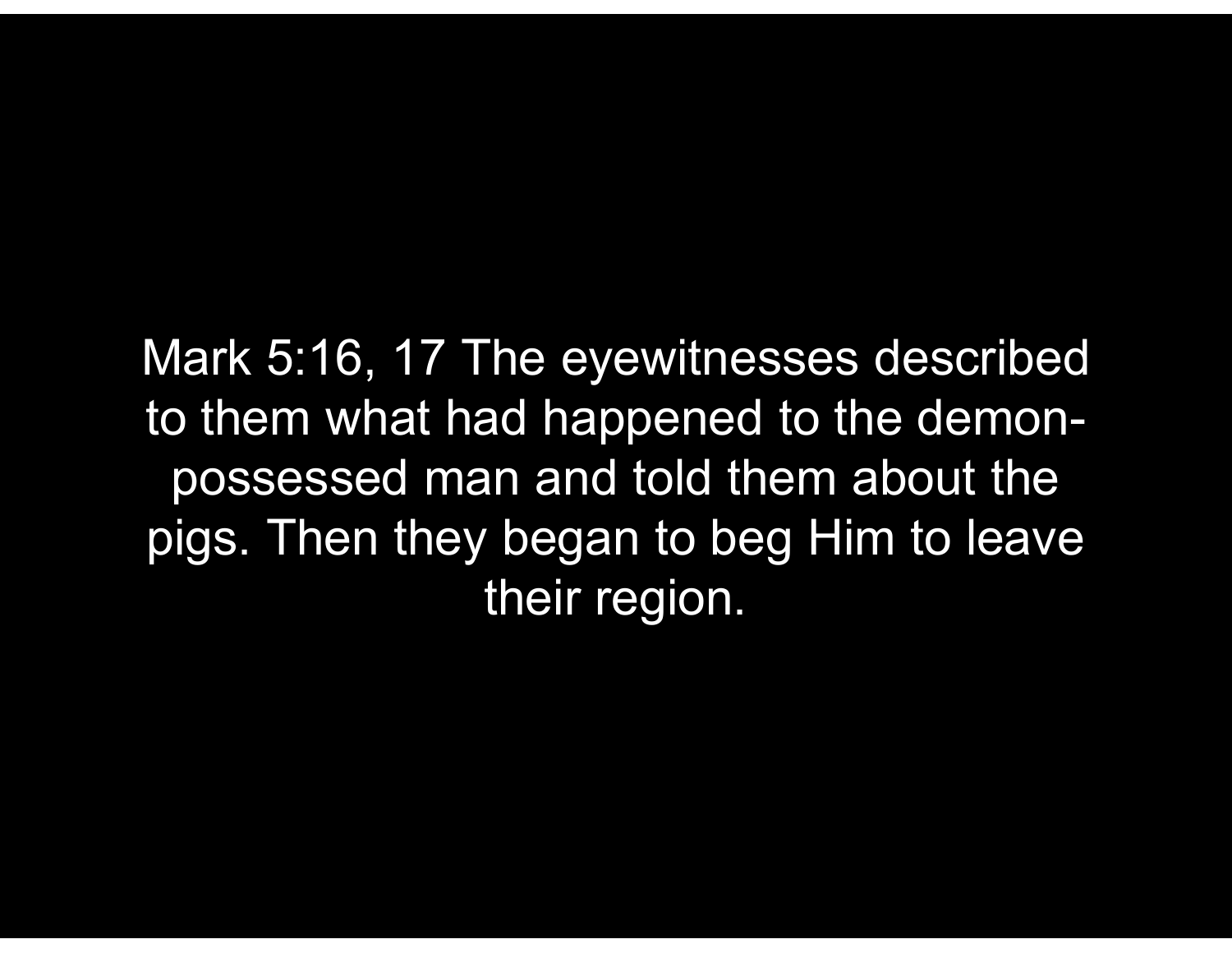Mark 5:16, 17 The eyewitnesses described to them what had happened to the demonpossessed man and told them about the pigs. Then they began to beg Him to leave their region.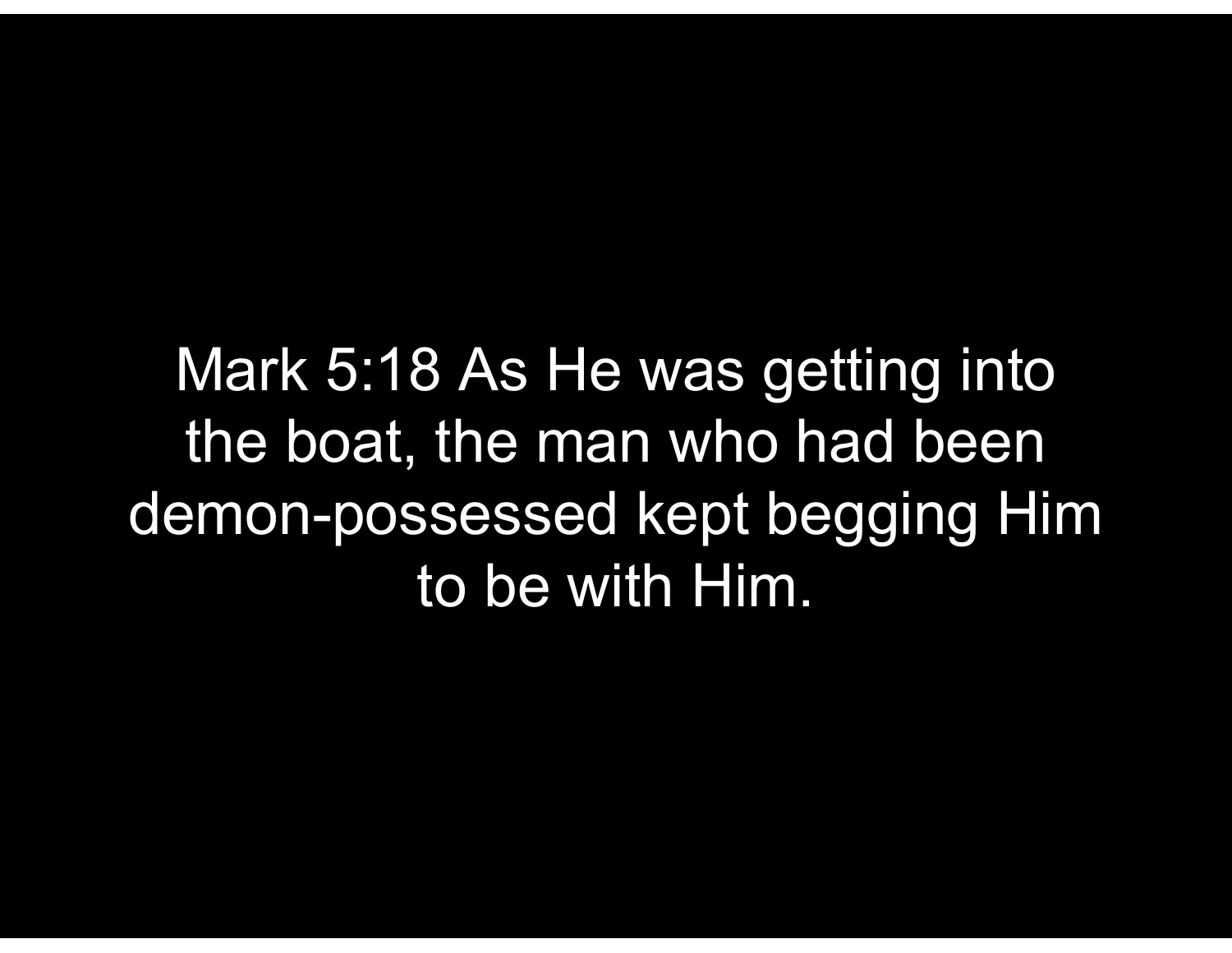Mark 5:18 As He was getting into the boat, the man who had been demon-possessed kept begging Him to be with Him.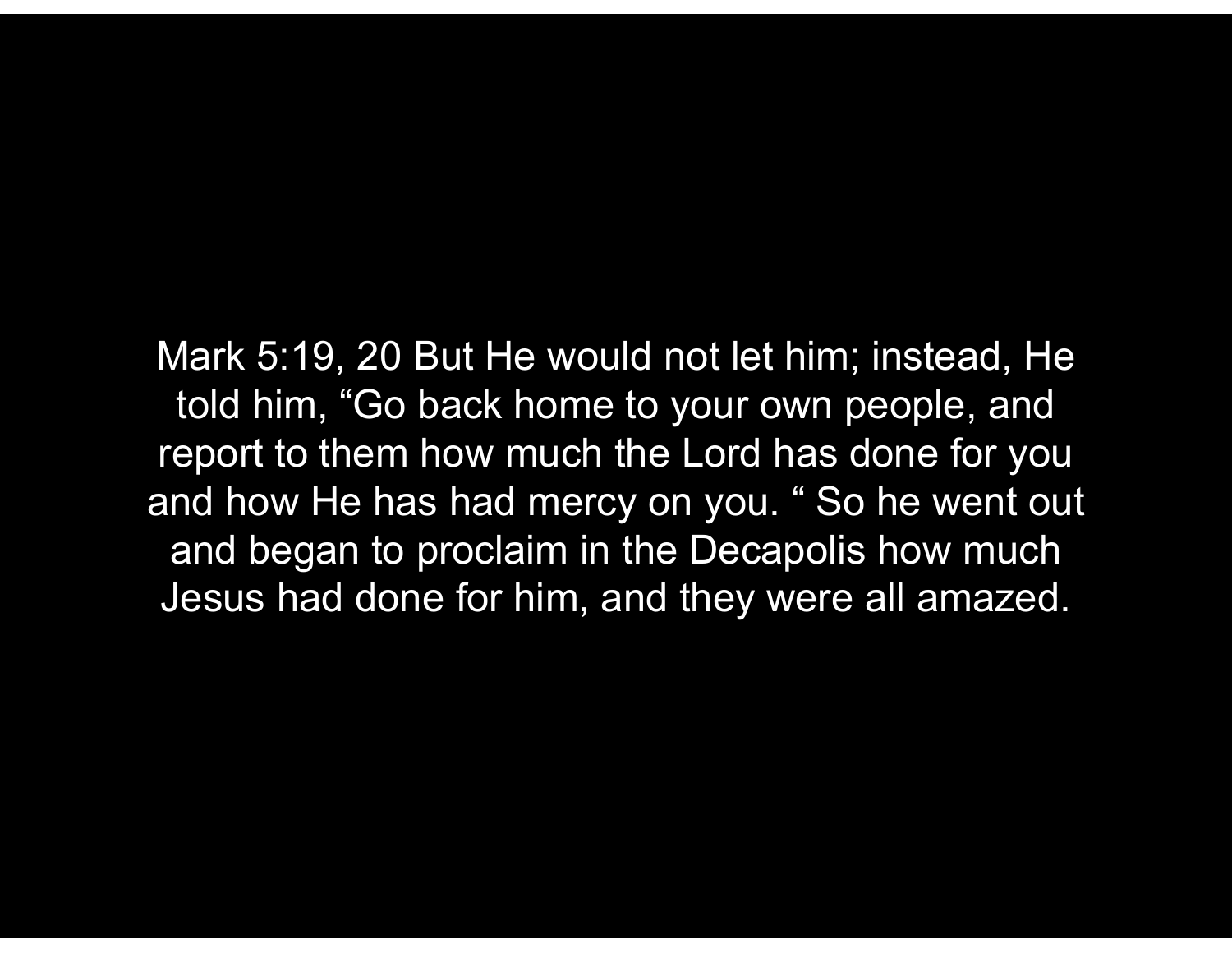Mark 5:19, 20 But He would not let him; instead, He told him, "Go back home to your own people, and report to them how much the Lord has done for you and how He has had mercy on you. " So he went out and began to proclaim in the Decapolis how much Jesus had done for him, and they were all amazed.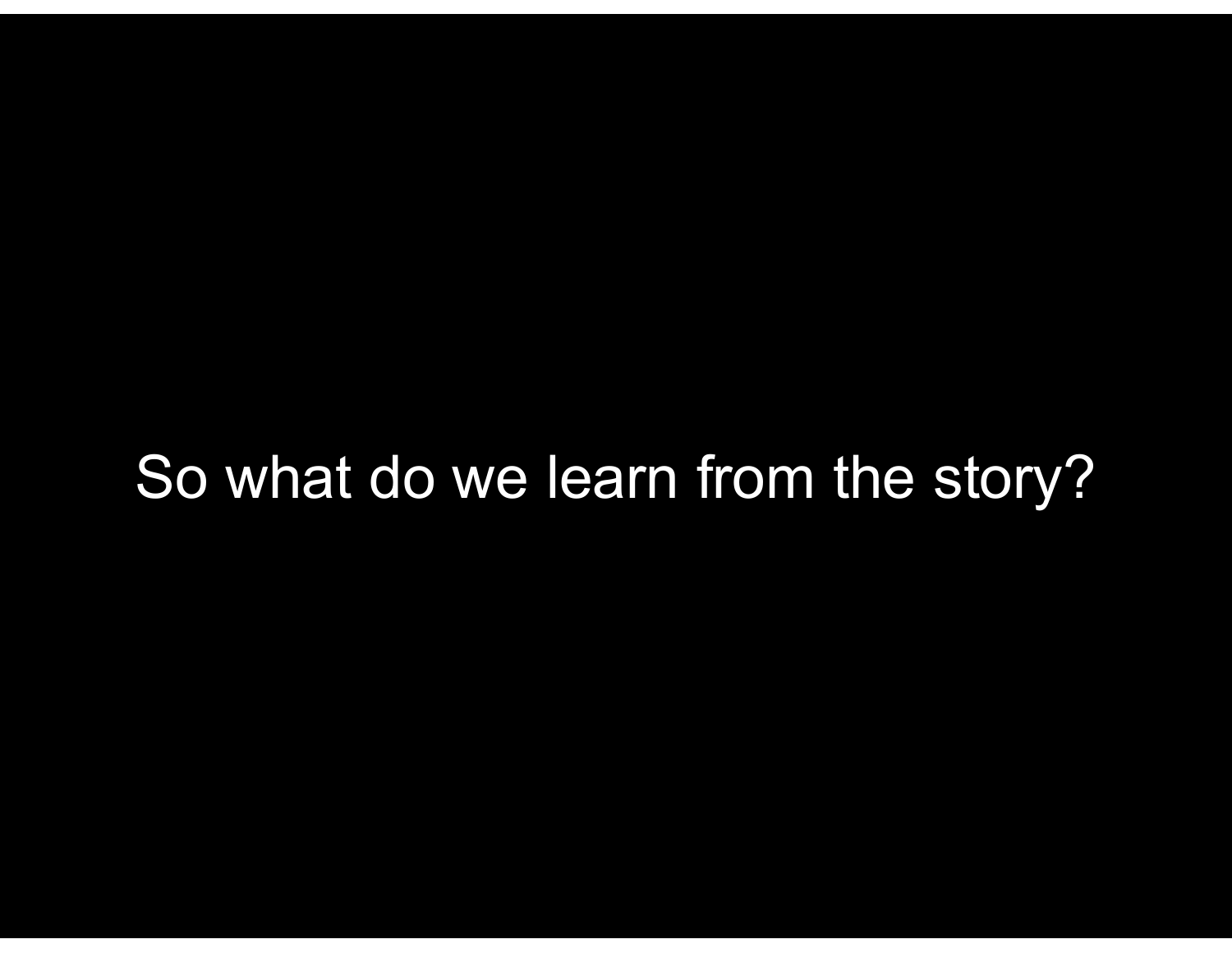## So what do we learn from the story?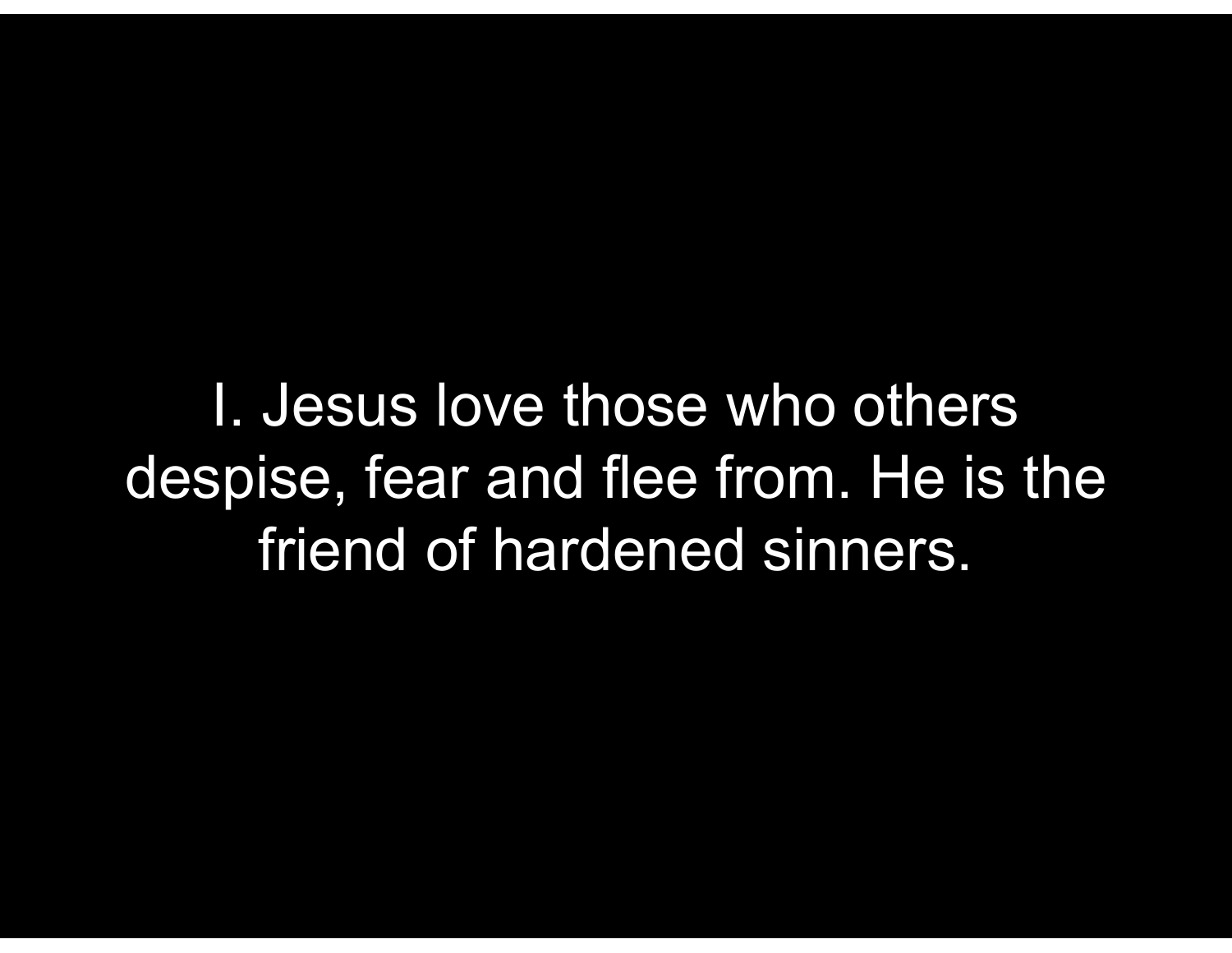I. Jesus love those who others despise, fear and flee from. He is the friend of hardened sinners.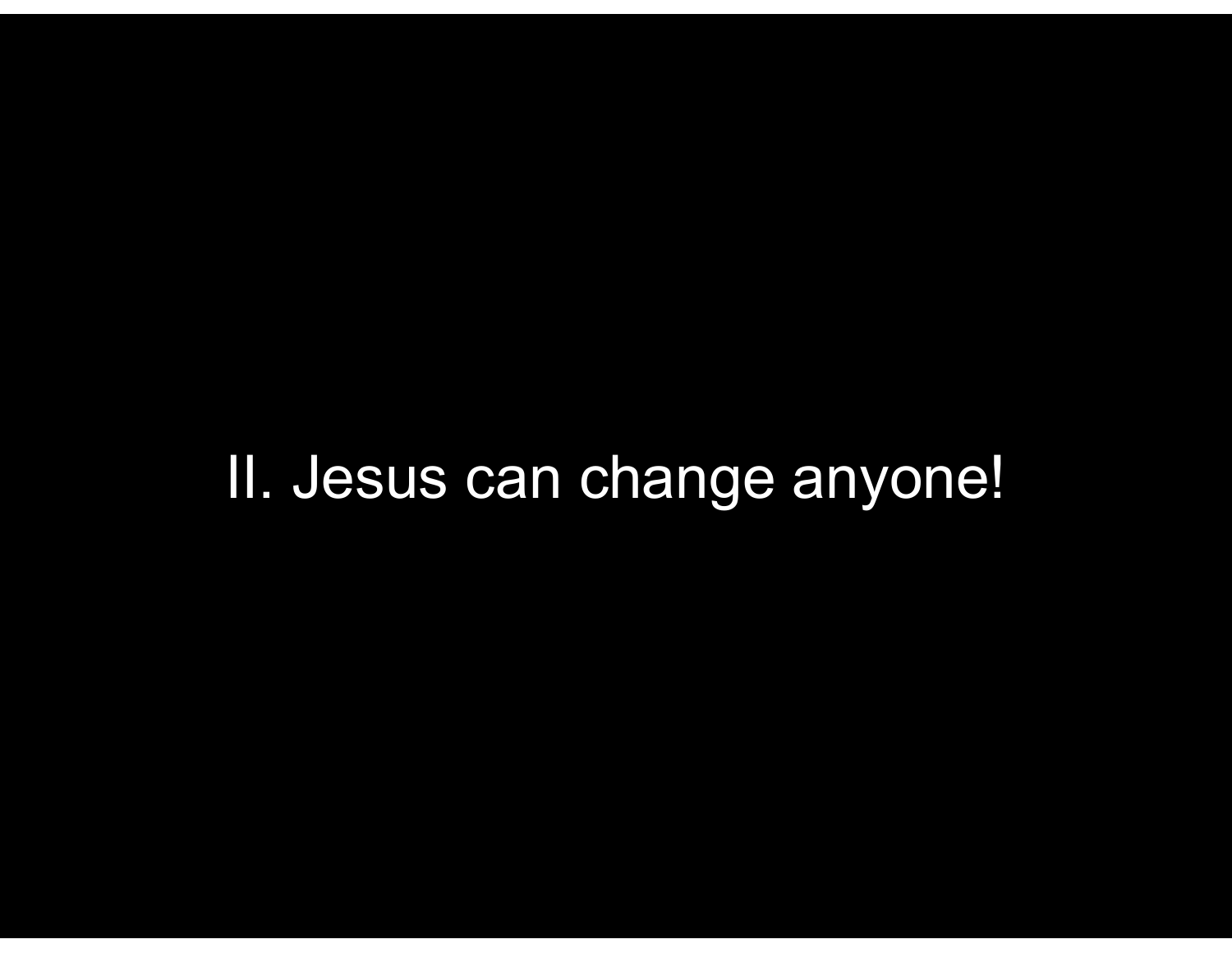## II. Jesus can change anyone!